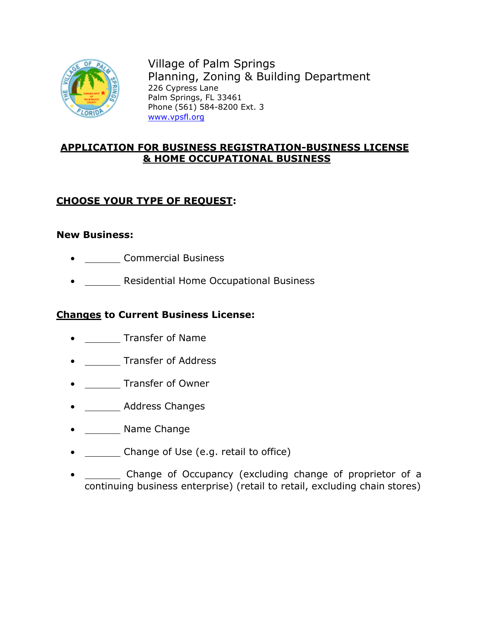

Village of Palm Springs Planning, Zoning & Building Department 226 Cypress Lane Palm Springs, FL 33461 Phone (561) 584-8200 Ext. 3 [www.vpsfl.org](http://www.vpsfl.org/)

## **APPLICATION FOR BUSINESS REGISTRATION-BUSINESS LICENSE & HOME OCCUPATIONAL BUSINESS**

# **CHOOSE YOUR TYPE OF REQUEST:**

### **New Business:**

- Commercial Business
- Residential Home Occupational Business

### **Changes to Current Business License:**

- Transfer of Name
- **IFRALL** Transfer of Address
- **Transfer of Owner**
- Address Changes
- Name Change
- Change of Use (e.g. retail to office)
- Change of Occupancy (excluding change of proprietor of a continuing business enterprise) (retail to retail, excluding chain stores)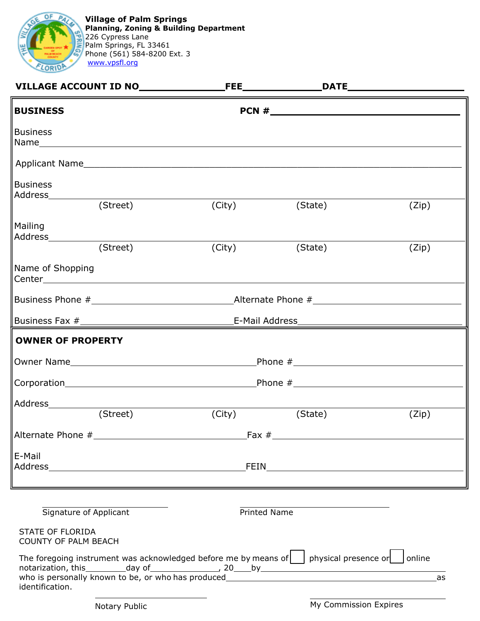

**Village of Palm Springs Planning, Zoning & Building Department** 226 Cypress Lane Palm Springs, FL 33461 Phone (561) 584-8200 Ext. 3 [www.vpsfl.org](http://www.vpsfl.org/)

| <b>BUSINESS</b>                                 |                                                                                                                     |                       |       |  |
|-------------------------------------------------|---------------------------------------------------------------------------------------------------------------------|-----------------------|-------|--|
| <b>Business</b>                                 |                                                                                                                     |                       |       |  |
|                                                 |                                                                                                                     |                       |       |  |
| <b>Business</b>                                 |                                                                                                                     | (City) (State)        | (Zip) |  |
| Mailing<br>Address____________                  |                                                                                                                     |                       |       |  |
| (Street)                                        | (City)                                                                                                              | (State)               | (Zip) |  |
| Name of Shopping                                |                                                                                                                     |                       |       |  |
|                                                 |                                                                                                                     |                       |       |  |
|                                                 |                                                                                                                     |                       |       |  |
| <b>OWNER OF PROPERTY</b>                        |                                                                                                                     |                       |       |  |
|                                                 |                                                                                                                     |                       |       |  |
|                                                 |                                                                                                                     |                       |       |  |
| Address_____________<br>(Street)                | (City)                                                                                                              | (State)               | (Zip) |  |
|                                                 |                                                                                                                     |                       |       |  |
| E-Mail                                          |                                                                                                                     |                       |       |  |
|                                                 |                                                                                                                     |                       |       |  |
|                                                 | ,我们也不会有什么。""我们的人,我们也不会有什么?""我们的人,我们也不会有什么?""我们的人,我们也不会有什么?""我们的人,我们也不会有什么?""我们的人                                    |                       |       |  |
| Signature of Applicant                          |                                                                                                                     | Printed Name          |       |  |
| STATE OF FLORIDA<br><b>COUNTY OF PALM BEACH</b> |                                                                                                                     |                       |       |  |
| identification.                                 | The foregoing instrument was acknowledged before me by means of $\vert \ \vert$ physical presence or $\vert$ online |                       | as    |  |
| Notary Public                                   |                                                                                                                     | My Commission Expires |       |  |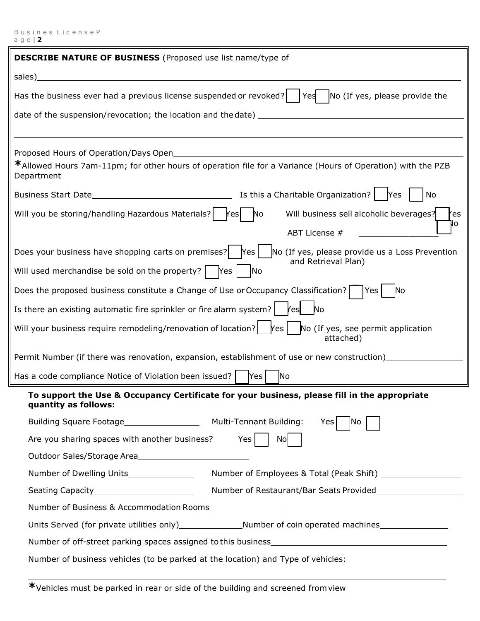| <b>DESCRIBE NATURE OF BUSINESS</b> (Proposed use list name/type of                                                                                                                                                                                                                                                                                                                                                                  |  |  |  |  |
|-------------------------------------------------------------------------------------------------------------------------------------------------------------------------------------------------------------------------------------------------------------------------------------------------------------------------------------------------------------------------------------------------------------------------------------|--|--|--|--|
| sales) and the sales of the sales of the sales of the sales of the sales of the sales of the sales of the sales                                                                                                                                                                                                                                                                                                                     |  |  |  |  |
| Has the business ever had a previous license suspended or revoked? $ $ Yes $ $ No (If yes, please provide the                                                                                                                                                                                                                                                                                                                       |  |  |  |  |
|                                                                                                                                                                                                                                                                                                                                                                                                                                     |  |  |  |  |
|                                                                                                                                                                                                                                                                                                                                                                                                                                     |  |  |  |  |
| Proposed Hours of Operation/Days Open<br><u> 1989 - Johann Stein, fransk politiker (d. 1989)</u>                                                                                                                                                                                                                                                                                                                                    |  |  |  |  |
| *Allowed Hours 7am-11pm; for other hours of operation file for a Variance (Hours of Operation) with the PZB<br>Department                                                                                                                                                                                                                                                                                                           |  |  |  |  |
|                                                                                                                                                                                                                                                                                                                                                                                                                                     |  |  |  |  |
| Will you be storing/handling Hazardous Materials?   Yes   No<br>Will business sell alcoholic beverages?<br>res                                                                                                                                                                                                                                                                                                                      |  |  |  |  |
| NΟ                                                                                                                                                                                                                                                                                                                                                                                                                                  |  |  |  |  |
| Does your business have shopping carts on premises? $\left  \right $ Yes $\left  \right $<br>No (If yes, please provide us a Loss Prevention                                                                                                                                                                                                                                                                                        |  |  |  |  |
| and Retrieval Plan)<br>Will used merchandise be sold on the property? $\begin{bmatrix} \n\end{bmatrix}$ $\begin{bmatrix} \n\end{bmatrix}$ $\begin{bmatrix} \n\end{bmatrix}$ $\begin{bmatrix} \n\end{bmatrix}$ $\begin{bmatrix} \n\end{bmatrix}$ $\begin{bmatrix} \n\end{bmatrix}$ $\begin{bmatrix} \n\end{bmatrix}$ $\begin{bmatrix} \n\end{bmatrix}$ $\begin{bmatrix} \n\end{bmatrix}$ $\begin{bmatrix} \n\end{bmatrix}$ $\begin{$ |  |  |  |  |
| Does the proposed business constitute a Change of Use or Occupancy Classification?   Yes  <br><b>No</b>                                                                                                                                                                                                                                                                                                                             |  |  |  |  |
| Is there an existing automatic fire sprinkler or fire alarm system? $\left  \right $ $\left  \right $ $\left  \right $ $\left  \right $ $\left  \right $ $\left  \right $ $\left  \right $ $\left  \right $ $\left  \right $ $\left  \right $ $\left  \right $ $\left  \right $ $\left  \right $ $\left  \right $ $\left  \right $ $\left  \right $ $\left  \right $                                                                |  |  |  |  |
| Will your business require remodeling/renovation of location? $\Box$ res $\vert$ No (If yes, see permit application<br>attached)                                                                                                                                                                                                                                                                                                    |  |  |  |  |
| Permit Number (if there was renovation, expansion, establishment of use or new construction)______________                                                                                                                                                                                                                                                                                                                          |  |  |  |  |
| Has a code compliance Notice of Violation been issued?<br>Yes<br>No                                                                                                                                                                                                                                                                                                                                                                 |  |  |  |  |
| To support the Use & Occupancy Certificate for your business, please fill in the appropriate<br>quantity as follows:                                                                                                                                                                                                                                                                                                                |  |  |  |  |
| Yes<br>INO                                                                                                                                                                                                                                                                                                                                                                                                                          |  |  |  |  |
| Are you sharing spaces with another business?<br>Yes  <br>Nol                                                                                                                                                                                                                                                                                                                                                                       |  |  |  |  |
| Outdoor Sales/Storage Area                                                                                                                                                                                                                                                                                                                                                                                                          |  |  |  |  |
| Number of Dwelling Units_______________                                                                                                                                                                                                                                                                                                                                                                                             |  |  |  |  |
| Seating Capacity____________________________                                                                                                                                                                                                                                                                                                                                                                                        |  |  |  |  |
| Number of Business & Accommodation Rooms                                                                                                                                                                                                                                                                                                                                                                                            |  |  |  |  |
|                                                                                                                                                                                                                                                                                                                                                                                                                                     |  |  |  |  |
|                                                                                                                                                                                                                                                                                                                                                                                                                                     |  |  |  |  |
| Number of business vehicles (to be parked at the location) and Type of vehicles:                                                                                                                                                                                                                                                                                                                                                    |  |  |  |  |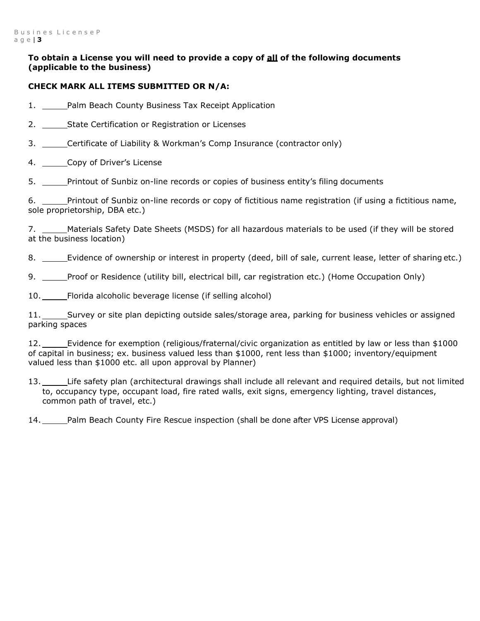#### **To obtain a License you will need to provide a copy of all of the following documents (applicable to the business)**

#### **CHECK MARK ALL ITEMS SUBMITTED OR N/A:**

1. Palm Beach County Business Tax Receipt Application

2. State Certification or Registration or Licenses

3. Certificate of Liability & Workman's Comp Insurance (contractor only)

4. Copy of Driver's License

5. \_\_\_\_\_Printout of Sunbiz on-line records or copies of business entity's filing documents

6. Printout of Sunbiz on-line records or copy of fictitious name registration (if using a fictitious name, sole proprietorship, DBA etc.)

7. \_\_\_\_\_Materials Safety Date Sheets (MSDS) for all hazardous materials to be used (if they will be stored at the business location)

8. \_\_\_\_\_\_Evidence of ownership or interest in property (deed, bill of sale, current lease, letter of sharing etc.)

9. \_\_\_\_\_Proof or Residence (utility bill, electrical bill, car registration etc.) (Home Occupation Only)

10. Florida alcoholic beverage license (if selling alcohol)

11. Survey or site plan depicting outside sales/storage area, parking for business vehicles or assigned parking spaces

12. Evidence for exemption (religious/fraternal/civic organization as entitled by law or less than \$1000 of capital in business; ex. business valued less than \$1000, rent less than \$1000; inventory/equipment valued less than \$1000 etc. all upon approval by Planner)

13. Life safety plan (architectural drawings shall include all relevant and required details, but not limited to, occupancy type, occupant load, fire rated walls, exit signs, emergency lighting, travel distances, common path of travel, etc.)

14. Palm Beach County Fire Rescue inspection (shall be done after VPS License approval)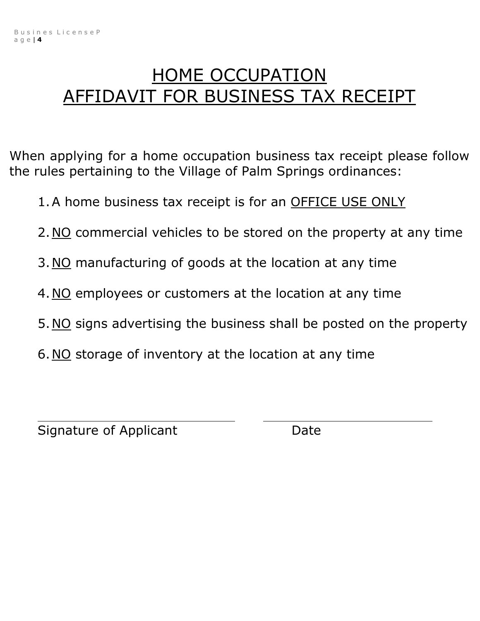# HOME OCCUPATION AFFIDAVIT FOR BUSINESS TAX RECEIPT

When applying for a home occupation business tax receipt please follow the rules pertaining to the Village of Palm Springs ordinances:

- 1. A home business tax receipt is for an OFFICE USE ONLY
- 2. NO commercial vehicles to be stored on the property at any time
- 3. NO manufacturing of goods at the location at any time
- 4.NO employees or customers at the location at any time
- 5.NO signs advertising the business shall be posted on the property
- 6.NO storage of inventory at the location at any time

Signature of Applicant Date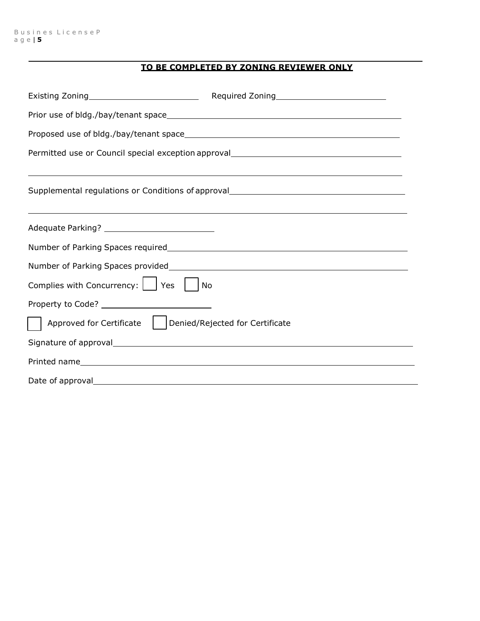## **TO BE COMPLETED BY ZONING REVIEWER ONLY**

| Permitted use or Council special exception approval_____________________________ |                                                                                  |  |  |  |
|----------------------------------------------------------------------------------|----------------------------------------------------------------------------------|--|--|--|
|                                                                                  |                                                                                  |  |  |  |
|                                                                                  | Supplemental regulations or Conditions of approval______________________________ |  |  |  |
|                                                                                  | ,我们也不会有什么。""我们的人,我们也不会有什么?""我们的人,我们也不会有什么?""我们的人,我们也不会有什么?""我们的人,我们也不会有什么?""我们的人 |  |  |  |
| Adequate Parking? _____________________________                                  |                                                                                  |  |  |  |
|                                                                                  |                                                                                  |  |  |  |
|                                                                                  |                                                                                  |  |  |  |
| Complies with Concurrency:     Yes     No                                        |                                                                                  |  |  |  |
|                                                                                  |                                                                                  |  |  |  |
| Approved for Certificate     Denied/Rejected for Certificate                     |                                                                                  |  |  |  |
|                                                                                  |                                                                                  |  |  |  |
|                                                                                  |                                                                                  |  |  |  |
|                                                                                  |                                                                                  |  |  |  |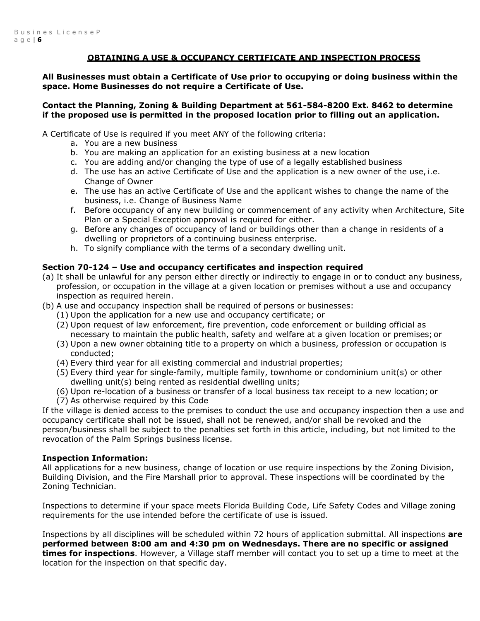#### **OBTAINING A USE & OCCUPANCY CERTIFICATE AND INSPECTION PROCESS**

**All Businesses must obtain a Certificate of Use prior to occupying or doing business within the space. Home Businesses do not require a Certificate of Use.** 

#### **Contact the Planning, Zoning & Building Department at 561-584-8200 Ext. 8462 to determine if the proposed use is permitted in the proposed location prior to filling out an application.**

A Certificate of Use is required if you meet ANY of the following criteria:

- a. You are a new business
- b. You are making an application for an existing business at a new location
- c. You are adding and/or changing the type of use of a legally established business
- d. The use has an active Certificate of Use and the application is a new owner of the use, i.e. Change of Owner
- e. The use has an active Certificate of Use and the applicant wishes to change the name of the business, i.e. Change of Business Name
- f. Before occupancy of any new building or commencement of any activity when Architecture, Site Plan or a Special Exception approval is required for either.
- g. Before any changes of occupancy of land or buildings other than a change in residents of a dwelling or proprietors of a continuing business enterprise.
- h. To signify compliance with the terms of a secondary dwelling unit.

#### **Section 70-124 – Use and occupancy certificates and inspection required**

- (a) It shall be unlawful for any person either directly or indirectly to engage in or to conduct any business, profession, or occupation in the village at a given location or premises without a use and occupancy inspection as required herein.
- (b) A use and occupancy inspection shall be required of persons or businesses:
	- (1) Upon the application for a new use and occupancy certificate; or
	- (2) Upon request of law enforcement, fire prevention, code enforcement or building official as necessary to maintain the public health, safety and welfare at a given location or premises; or
	- (3) Upon a new owner obtaining title to a property on which a business, profession or occupation is conducted;
	- (4) Every third year for all existing commercial and industrial properties;
	- (5) Every third year for single-family, multiple family, townhome or condominium unit(s) or other dwelling unit(s) being rented as residential dwelling units;
	- (6) Upon re-location of a business or transfer of a local business tax receipt to a new location; or
	- (7) As otherwise required by this Code

If the village is denied access to the premises to conduct the use and occupancy inspection then a use and occupancy certificate shall not be issued, shall not be renewed, and/or shall be revoked and the person/business shall be subject to the penalties set forth in this article, including, but not limited to the revocation of the Palm Springs business license.

#### **Inspection Information:**

All applications for a new business, change of location or use require inspections by the Zoning Division, Building Division, and the Fire Marshall prior to approval. These inspections will be coordinated by the Zoning Technician.

Inspections to determine if your space meets Florida Building Code, Life Safety Codes and Village zoning requirements for the use intended before the certificate of use is issued.

Inspections by all disciplines will be scheduled within 72 hours of application submittal. All inspections **are performed between 8:00 am and 4:30 pm on Wednesdays. There are no specific or assigned times for inspections**. However, a Village staff member will contact you to set up a time to meet at the location for the inspection on that specific day.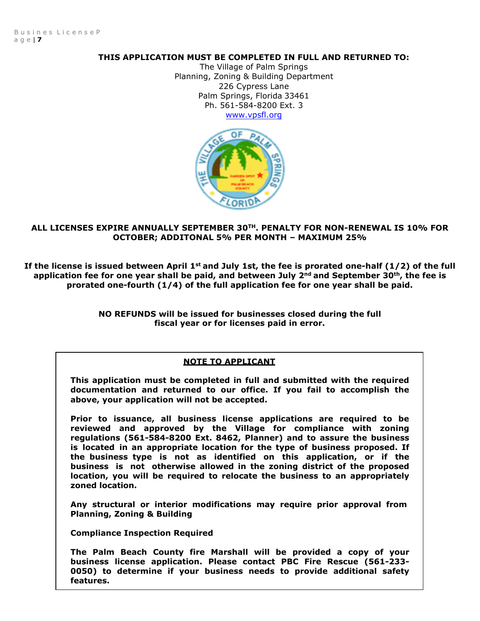#### **THIS APPLICATION MUST BE COMPLETED IN FULL AND RETURNED TO:**

The Village of Palm Springs Planning, Zoning & Building Department 226 Cypress Lane Palm Springs, Florida 33461 Ph. 561-584-8200 Ext. 3 [www.vpsfl.org](http://www.vpsfl.org/)



#### **ALL LICENSES EXPIRE ANNUALLY SEPTEMBER 30TH. PENALTY FOR NON-RENEWAL IS 10% FOR OCTOBER; ADDITONAL 5% PER MONTH – MAXIMUM 25%**

If the license is issued between April 1<sup>st</sup> and July 1st, the fee is prorated one-half (1/2) of the full **application fee for one year shall be paid, and between July 2nd and September 30th, the fee is prorated one-fourth (1/4) of the full application fee for one year shall be paid.**

> **NO REFUNDS will be issued for businesses closed during the full fiscal year or for licenses paid in error.**

#### **NOTE TO APPLICANT**

**This application must be completed in full and submitted with the required documentation and returned to our office. If you fail to accomplish the above, your application will not be accepted.**

**Prior to issuance, all business license applications are required to be reviewed and approved by the Village for compliance with zoning regulations (561-584-8200 Ext. 8462, Planner) and to assure the business is located in an appropriate location for the type of business proposed. If the business type is not as identified on this application, or if the business is not otherwise allowed in the zoning district of the proposed location, you will be required to relocate the business to an appropriately zoned location.** 

**Any structural or interior modifications may require prior approval from Planning, Zoning & Building** 

**Compliance Inspection Required** 

**The Palm Beach County fire Marshall will be provided a copy of your business license application. Please contact PBC Fire Rescue (561-233- 0050) to determine if your business needs to provide additional safety features.**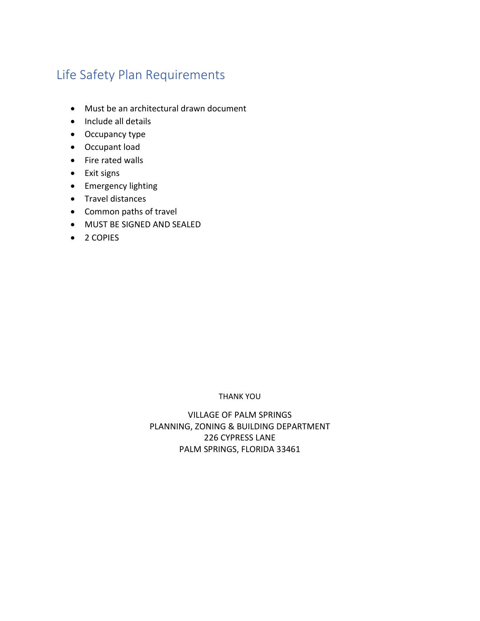# Life Safety Plan Requirements

- Must be an architectural drawn document
- Include all details
- Occupancy type
- Occupant load
- Fire rated walls
- Exit signs
- Emergency lighting
- Travel distances
- Common paths of travel
- MUST BE SIGNED AND SEALED
- 2 COPIES

#### THANK YOU

VILLAGE OF PALM SPRINGS PLANNING, ZONING & BUILDING DEPARTMENT 226 CYPRESS LANE PALM SPRINGS, FLORIDA 33461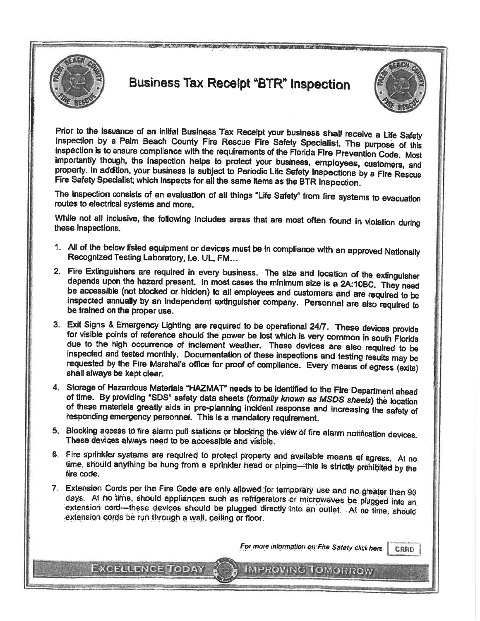

# **Business Tax Receipt "BTR" Inspection**



Prior to the issuance of an initial Business Tax Receipt your business shall receive a Life Safety Inspection by a Palm Beach County Fire Rescue Fire Safety Specialist. The purpose of this inspection is to ensure compliance with the requirements of the Florida Fire Prevention Code. Most importantly though, the inspection helps to protect your business, employees, customers, and property. In addition, your business is subject to Periodic Life Safety Inspections by a Fire Rescue Fire Safety Specialist; which inspects for all the same items as the BTR Inspection.

The inspection consists of an evaluation of all things "Life Safety" from fire systems to evacuation routes to electrical systems and more.

While not all inclusive, the following includes areas that are most often found in violation during these inspections.

- 1. All of the below listed equipment or devices must be in compliance with an approved Nationally Recognized Testing Laboratory, i.e. UL, FM...
- 2. Fire Extinguishers are required in every business. The size and location of the extinguisher depends upon the hazard present. In most cases the minimum size is a 2A:10BC. They need be accessible (not blocked or hidden) to all employees and customers and are required to be inspected annually by an independent extinguisher company. Personnel are also required to be trained on the proper use.
- 3. Exit Signs & Emergency Lighting are required to be operational 24/7. These devices provide for visible points of reference should the power be lost which is very common in south Florida due to the high occurrence of inclement weather. These devices are also required to be inspected and tested monthly. Documentation of these inspections and testing results may be requested by the Fire Marshal's office for proof of compliance. Every means of egress (exits) shall always be kept clear.
- 4. Storage of Hazardous Materials "HAZMAT" needs to be identified to the Fire Department ahead of time. By providing "SDS" safety data sheets (formally known as MSDS sheets) the location of these materials greatly aids in pre-planning incident response and increasing the safety of responding emergency personnel. This is a mandatory requirement.
- 5. Blocking access to fire alarm pull stations or blocking the view of fire alarm notification devices. These devices always need to be accessible and visible.
- 6. Fire sprinkler systems are required to protect property and available means of egress. At no time, should anything be hung from a sprinkler head or piping-this is strictly prohibited by the fire code.
- 7. Extension Cords per the Fire Code are only allowed for temporary use and no greater than 90 days. At no time, should appliances such as refrigerators or microwaves be plugged into an extension cord—these devices should be plugged directly into an outlet. At no time, should extension cords be run through a wall, ceiling or floor.

Excellence Today

For more information on Fire Safety click here CRRD

**IMPROVING TOMORROW**